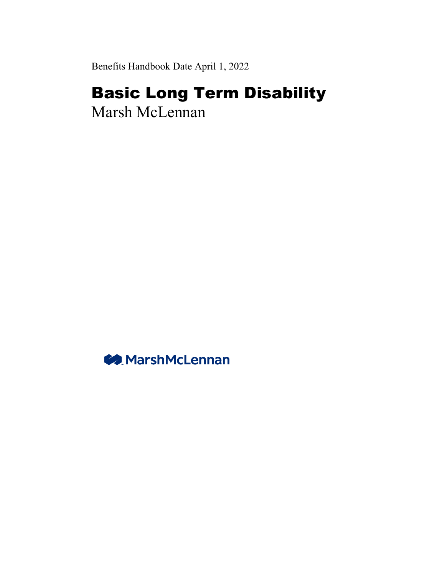Benefits Handbook Date April 1, 2022

# Basic Long Term Disability

Marsh McLennan

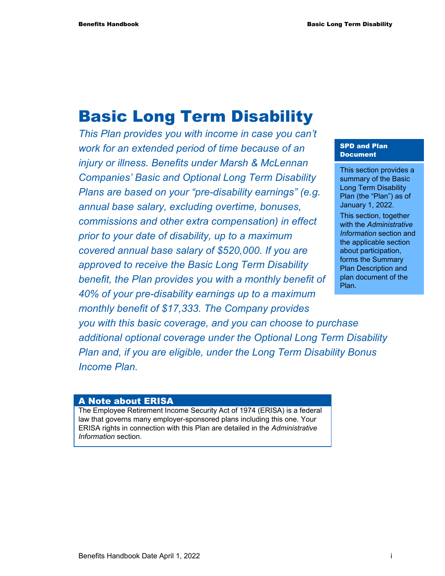# Basic Long Term Disability

*This Plan provides you with income in case you can't work for an extended period of time because of an injury or illness. Benefits under Marsh & McLennan Companies' Basic and Optional Long Term Disability Plans are based on your "pre-disability earnings" (e.g. annual base salary, excluding overtime, bonuses, commissions and other extra compensation) in effect prior to your date of disability, up to a maximum covered annual base salary of \$520,000. If you are approved to receive the Basic Long Term Disability benefit, the Plan provides you with a monthly benefit of 40% of your pre-disability earnings up to a maximum monthly benefit of \$17,333. The Company provides* 

#### SPD and Plan Document

This section provides a summary of the Basic Long Term Disability Plan (the "Plan") as of January 1, 2022. This section, together

with the *Administrative Information* section and the applicable section about participation, forms the Summary Plan Description and plan document of the Plan.

*you with this basic coverage, and you can choose to purchase additional optional coverage under the Optional Long Term Disability Plan and, if you are eligible, under the Long Term Disability Bonus Income Plan.* 

#### A Note about ERISA

The Employee Retirement Income Security Act of 1974 (ERISA) is a federal law that governs many employer-sponsored plans including this one. Your ERISA rights in connection with this Plan are detailed in the *Administrative Information* section.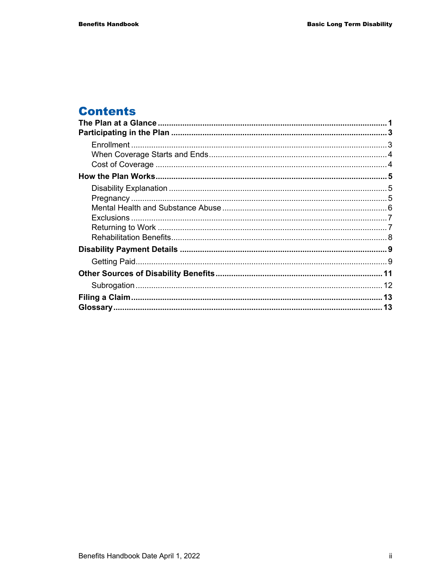# **Contents**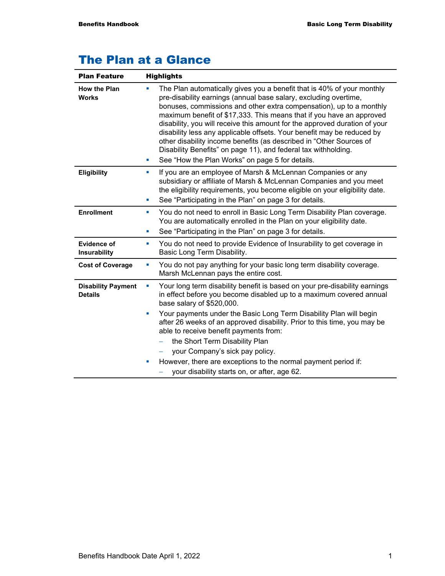# The Plan at a Glance

| <b>Plan Feature</b><br><b>Highlights</b>    |                                                                                                                                                                                                                                                                                                                                                                                                                                                                                                                                                                                                                                                          |
|---------------------------------------------|----------------------------------------------------------------------------------------------------------------------------------------------------------------------------------------------------------------------------------------------------------------------------------------------------------------------------------------------------------------------------------------------------------------------------------------------------------------------------------------------------------------------------------------------------------------------------------------------------------------------------------------------------------|
| <b>How the Plan</b><br><b>Works</b>         | The Plan automatically gives you a benefit that is 40% of your monthly<br>a.<br>pre-disability earnings (annual base salary, excluding overtime,<br>bonuses, commissions and other extra compensation), up to a monthly<br>maximum benefit of \$17,333. This means that if you have an approved<br>disability, you will receive this amount for the approved duration of your<br>disability less any applicable offsets. Your benefit may be reduced by<br>other disability income benefits (as described in "Other Sources of<br>Disability Benefits" on page 11), and federal tax withholding.<br>See "How the Plan Works" on page 5 for details.<br>ш |
| <b>Eligibility</b>                          | If you are an employee of Marsh & McLennan Companies or any<br><b>I</b><br>subsidiary or affiliate of Marsh & McLennan Companies and you meet<br>the eligibility requirements, you become eligible on your eligibility date.<br>See "Participating in the Plan" on page 3 for details.<br>ш                                                                                                                                                                                                                                                                                                                                                              |
| <b>Enrollment</b>                           | You do not need to enroll in Basic Long Term Disability Plan coverage.<br>ш<br>You are automatically enrolled in the Plan on your eligibility date.<br>See "Participating in the Plan" on page 3 for details.<br>ш                                                                                                                                                                                                                                                                                                                                                                                                                                       |
| <b>Evidence of</b><br><b>Insurability</b>   | You do not need to provide Evidence of Insurability to get coverage in<br>ш<br>Basic Long Term Disability.                                                                                                                                                                                                                                                                                                                                                                                                                                                                                                                                               |
| <b>Cost of Coverage</b>                     | You do not pay anything for your basic long term disability coverage.<br>ш<br>Marsh McLennan pays the entire cost.                                                                                                                                                                                                                                                                                                                                                                                                                                                                                                                                       |
| <b>Disability Payment</b><br><b>Details</b> | Your long term disability benefit is based on your pre-disability earnings<br>ш<br>in effect before you become disabled up to a maximum covered annual<br>base salary of \$520,000.                                                                                                                                                                                                                                                                                                                                                                                                                                                                      |
|                                             | Your payments under the Basic Long Term Disability Plan will begin<br>ш<br>after 26 weeks of an approved disability. Prior to this time, you may be<br>able to receive benefit payments from:<br>the Short Term Disability Plan                                                                                                                                                                                                                                                                                                                                                                                                                          |
|                                             | your Company's sick pay policy.<br>However, there are exceptions to the normal payment period if:<br>ш<br>your disability starts on, or after, age 62.                                                                                                                                                                                                                                                                                                                                                                                                                                                                                                   |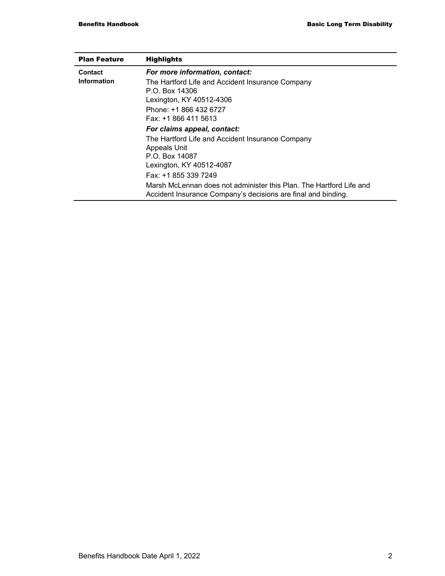| <b>Plan Feature</b> | <b>Highlights</b>                                                                                                                    |
|---------------------|--------------------------------------------------------------------------------------------------------------------------------------|
| Contact             | For more information, contact:                                                                                                       |
| Information         | The Hartford Life and Accident Insurance Company<br>P.O. Box 14306<br>Lexington, KY 40512-4306                                       |
|                     | Phone: +1 866 432 6727<br>Fax: +1 866 411 5613                                                                                       |
|                     | For claims appeal, contact:                                                                                                          |
|                     | The Hartford Life and Accident Insurance Company<br><b>Appeals Unit</b><br>P.O. Box 14087<br>Lexington, KY 40512-4087                |
|                     | Fax: +1 855 339 7249                                                                                                                 |
|                     | Marsh McLennan does not administer this Plan. The Hartford Life and<br>Accident Insurance Company's decisions are final and binding. |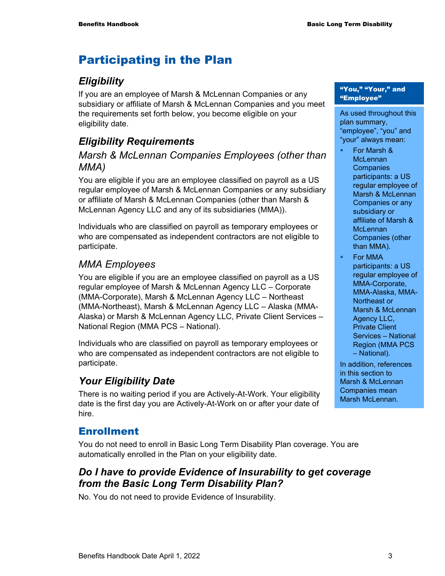# Participating in the Plan

# *Eligibility*

If you are an employee of Marsh & McLennan Companies or any subsidiary or affiliate of Marsh & McLennan Companies and you meet the requirements set forth below, you become eligible on your eligibility date.

# *Eligibility Requirements*

# *Marsh & McLennan Companies Employees (other than MMA)*

You are eligible if you are an employee classified on payroll as a US regular employee of Marsh & McLennan Companies or any subsidiary or affiliate of Marsh & McLennan Companies (other than Marsh & McLennan Agency LLC and any of its subsidiaries (MMA)).

Individuals who are classified on payroll as temporary employees or who are compensated as independent contractors are not eligible to participate.

# *MMA Employees*

You are eligible if you are an employee classified on payroll as a US regular employee of Marsh & McLennan Agency LLC – Corporate (MMA-Corporate), Marsh & McLennan Agency LLC – Northeast (MMA-Northeast), Marsh & McLennan Agency LLC – Alaska (MMA-Alaska) or Marsh & McLennan Agency LLC, Private Client Services – National Region (MMA PCS – National).

Individuals who are classified on payroll as temporary employees or who are compensated as independent contractors are not eligible to participate.

# *Your Eligibility Date*

There is no waiting period if you are Actively-At-Work. Your eligibility date is the first day you are Actively-At-Work on or after your date of hire.

# Enrollment

You do not need to enroll in Basic Long Term Disability Plan coverage. You are automatically enrolled in the Plan on your eligibility date.

# *Do I have to provide Evidence of Insurability to get coverage from the Basic Long Term Disability Plan?*

No. You do not need to provide Evidence of Insurability.

#### "You," "Your," and "Employee"

As used throughout this plan summary, "employee", "you" and "your" always mean:

- For Marsh & **McLennan Companies** participants: a US regular employee of Marsh & McLennan Companies or any subsidiary or affiliate of Marsh & **McLennan** Companies (other than MMA).
- For MMA participants: a US regular employee of MMA-Corporate, MMA-Alaska, MMA-Northeast or Marsh & McLennan Agency LLC, Private Client Services – National Region (MMA PCS – National).

In addition, references in this section to Marsh & McLennan Companies mean Marsh McLennan.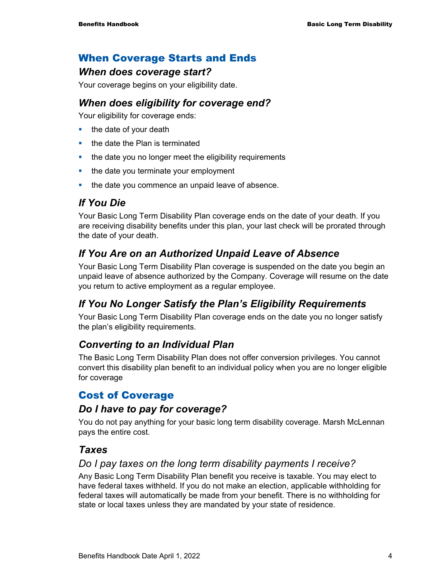# When Coverage Starts and Ends

### *When does coverage start?*

Your coverage begins on your eligibility date.

### *When does eligibility for coverage end?*

Your eligibility for coverage ends:

- $\blacksquare$  the date of your death
- the date the Plan is terminated
- **the date you no longer meet the eligibility requirements**
- the date you terminate your employment
- the date you commence an unpaid leave of absence.

# *If You Die*

Your Basic Long Term Disability Plan coverage ends on the date of your death. If you are receiving disability benefits under this plan, your last check will be prorated through the date of your death.

# *If You Are on an Authorized Unpaid Leave of Absence*

Your Basic Long Term Disability Plan coverage is suspended on the date you begin an unpaid leave of absence authorized by the Company. Coverage will resume on the date you return to active employment as a regular employee.

# *If You No Longer Satisfy the Plan's Eligibility Requirements*

Your Basic Long Term Disability Plan coverage ends on the date you no longer satisfy the plan's eligibility requirements.

# *Converting to an Individual Plan*

The Basic Long Term Disability Plan does not offer conversion privileges. You cannot convert this disability plan benefit to an individual policy when you are no longer eligible for coverage

# Cost of Coverage

### *Do I have to pay for coverage?*

You do not pay anything for your basic long term disability coverage. Marsh McLennan pays the entire cost.

# *Taxes*

### *Do I pay taxes on the long term disability payments I receive?*

Any Basic Long Term Disability Plan benefit you receive is taxable. You may elect to have federal taxes withheld. If you do not make an election, applicable withholding for federal taxes will automatically be made from your benefit. There is no withholding for state or local taxes unless they are mandated by your state of residence.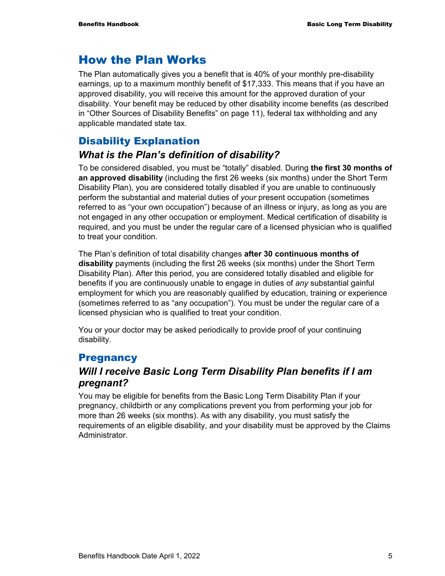# How the Plan Works

The Plan automatically gives you a benefit that is 40% of your monthly pre-disability earnings, up to a maximum monthly benefit of \$17,333. This means that if you have an approved disability, you will receive this amount for the approved duration of your disability. Your benefit may be reduced by other disability income benefits (as described in "Other Sources of Disability Benefits" on page 11), federal tax withholding and any applicable mandated state tax.

# Disability Explanation

# *What is the Plan's definition of disability?*

To be considered disabled, you must be "totally" disabled. During **the first 30 months of an approved disability** (including the first 26 weeks (six months) under the Short Term Disability Plan), you are considered totally disabled if you are unable to continuously perform the substantial and material duties of *your* present occupation (sometimes referred to as "your own occupation") because of an illness or injury, as long as you are not engaged in any other occupation or employment. Medical certification of disability is required, and you must be under the regular care of a licensed physician who is qualified to treat your condition.

The Plan's definition of total disability changes **after 30 continuous months of disability** payments (including the first 26 weeks (six months) under the Short Term Disability Plan). After this period, you are considered totally disabled and eligible for benefits if you are continuously unable to engage in duties of *any* substantial gainful employment for which you are reasonably qualified by education, training or experience (sometimes referred to as "any occupation"). You must be under the regular care of a licensed physician who is qualified to treat your condition.

You or your doctor may be asked periodically to provide proof of your continuing disability.

# **Pregnancy**

# *Will I receive Basic Long Term Disability Plan benefits if I am pregnant?*

You may be eligible for benefits from the Basic Long Term Disability Plan if your pregnancy, childbirth or any complications prevent you from performing your job for more than 26 weeks (six months). As with any disability, you must satisfy the requirements of an eligible disability, and your disability must be approved by the Claims Administrator.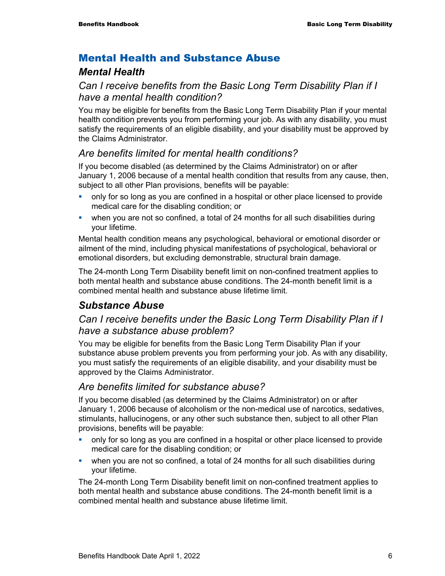### Mental Health and Substance Abuse

### *Mental Health*

# *Can I receive benefits from the Basic Long Term Disability Plan if I have a mental health condition?*

You may be eligible for benefits from the Basic Long Term Disability Plan if your mental health condition prevents you from performing your job. As with any disability, you must satisfy the requirements of an eligible disability, and your disability must be approved by the Claims Administrator.

# *Are benefits limited for mental health conditions?*

If you become disabled (as determined by the Claims Administrator) on or after January 1, 2006 because of a mental health condition that results from any cause, then, subject to all other Plan provisions, benefits will be payable:

- only for so long as you are confined in a hospital or other place licensed to provide medical care for the disabling condition; or
- when you are not so confined, a total of 24 months for all such disabilities during your lifetime.

Mental health condition means any psychological, behavioral or emotional disorder or ailment of the mind, including physical manifestations of psychological, behavioral or emotional disorders, but excluding demonstrable, structural brain damage.

The 24-month Long Term Disability benefit limit on non-confined treatment applies to both mental health and substance abuse conditions. The 24-month benefit limit is a combined mental health and substance abuse lifetime limit.

# *Substance Abuse*

# *Can I receive benefits under the Basic Long Term Disability Plan if I have a substance abuse problem?*

You may be eligible for benefits from the Basic Long Term Disability Plan if your substance abuse problem prevents you from performing your job. As with any disability, you must satisfy the requirements of an eligible disability, and your disability must be approved by the Claims Administrator.

### *Are benefits limited for substance abuse?*

If you become disabled (as determined by the Claims Administrator) on or after January 1, 2006 because of alcoholism or the non-medical use of narcotics, sedatives, stimulants, hallucinogens, or any other such substance then, subject to all other Plan provisions, benefits will be payable:

- only for so long as you are confined in a hospital or other place licensed to provide medical care for the disabling condition; or
- when you are not so confined, a total of 24 months for all such disabilities during your lifetime.

The 24-month Long Term Disability benefit limit on non-confined treatment applies to both mental health and substance abuse conditions. The 24-month benefit limit is a combined mental health and substance abuse lifetime limit.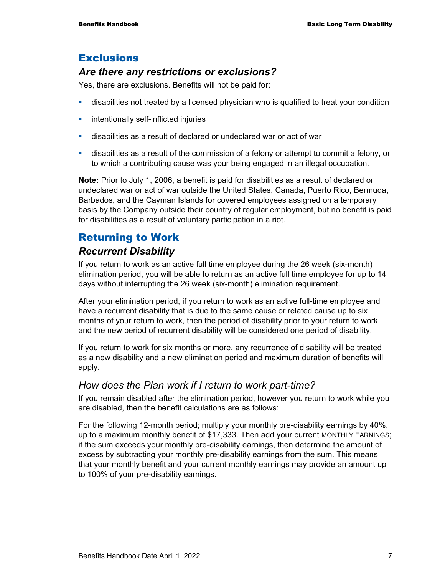## **Exclusions**

### *Are there any restrictions or exclusions?*

Yes, there are exclusions. Benefits will not be paid for:

- disabilities not treated by a licensed physician who is qualified to treat your condition
- **EXECUTE:** intentionally self-inflicted injuries
- disabilities as a result of declared or undeclared war or act of war
- disabilities as a result of the commission of a felony or attempt to commit a felony, or to which a contributing cause was your being engaged in an illegal occupation.

**Note:** Prior to July 1, 2006, a benefit is paid for disabilities as a result of declared or undeclared war or act of war outside the United States, Canada, Puerto Rico, Bermuda, Barbados, and the Cayman Islands for covered employees assigned on a temporary basis by the Company outside their country of regular employment, but no benefit is paid for disabilities as a result of voluntary participation in a riot.

# Returning to Work

## *Recurrent Disability*

If you return to work as an active full time employee during the 26 week (six-month) elimination period, you will be able to return as an active full time employee for up to 14 days without interrupting the 26 week (six-month) elimination requirement.

After your elimination period, if you return to work as an active full-time employee and have a recurrent disability that is due to the same cause or related cause up to six months of your return to work, then the period of disability prior to your return to work and the new period of recurrent disability will be considered one period of disability.

If you return to work for six months or more, any recurrence of disability will be treated as a new disability and a new elimination period and maximum duration of benefits will apply.

#### *How does the Plan work if I return to work part-time?*

If you remain disabled after the elimination period, however you return to work while you are disabled, then the benefit calculations are as follows:

For the following 12-month period; multiply your monthly pre-disability earnings by 40%, up to a maximum monthly benefit of \$17,333. Then add your current MONTHLY EARNINGS; if the sum exceeds your monthly pre-disability earnings, then determine the amount of excess by subtracting your monthly pre-disability earnings from the sum. This means that your monthly benefit and your current monthly earnings may provide an amount up to 100% of your pre-disability earnings.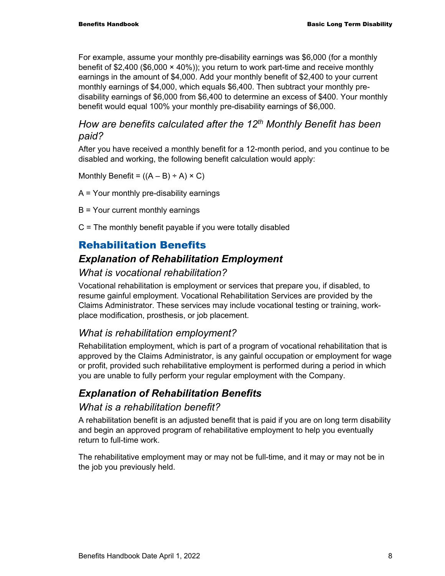For example, assume your monthly pre-disability earnings was \$6,000 (for a monthly benefit of \$2,400 (\$6,000  $\times$  40%)); you return to work part-time and receive monthly earnings in the amount of \$4,000. Add your monthly benefit of \$2,400 to your current monthly earnings of \$4,000, which equals \$6,400. Then subtract your monthly predisability earnings of \$6,000 from \$6,400 to determine an excess of \$400. Your monthly benefit would equal 100% your monthly pre-disability earnings of \$6,000.

# *How are benefits calculated after the 12th Monthly Benefit has been paid?*

After you have received a monthly benefit for a 12-month period, and you continue to be disabled and working, the following benefit calculation would apply:

Monthly Benefit =  $((A - B) \div A) \times C$ )

- A = Your monthly pre-disability earnings
- B = Your current monthly earnings
- C = The monthly benefit payable if you were totally disabled

# Rehabilitation Benefits

# *Explanation of Rehabilitation Employment*

### *What is vocational rehabilitation?*

Vocational rehabilitation is employment or services that prepare you, if disabled, to resume gainful employment. Vocational Rehabilitation Services are provided by the Claims Administrator. These services may include vocational testing or training, workplace modification, prosthesis, or job placement.

# *What is rehabilitation employment?*

Rehabilitation employment, which is part of a program of vocational rehabilitation that is approved by the Claims Administrator, is any gainful occupation or employment for wage or profit, provided such rehabilitative employment is performed during a period in which you are unable to fully perform your regular employment with the Company.

# *Explanation of Rehabilitation Benefits*

#### *What is a rehabilitation benefit?*

A rehabilitation benefit is an adjusted benefit that is paid if you are on long term disability and begin an approved program of rehabilitative employment to help you eventually return to full-time work.

The rehabilitative employment may or may not be full-time, and it may or may not be in the job you previously held.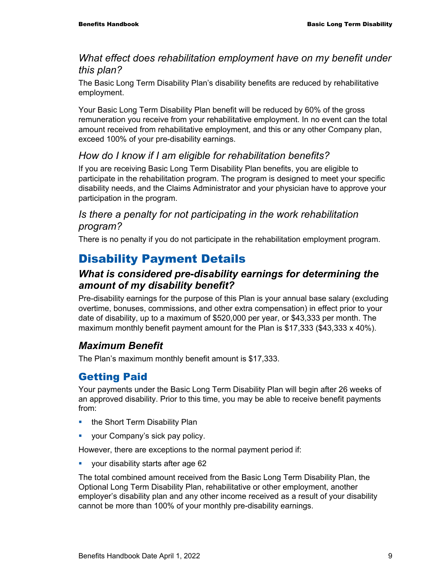### *What effect does rehabilitation employment have on my benefit under this plan?*

The Basic Long Term Disability Plan's disability benefits are reduced by rehabilitative employment.

Your Basic Long Term Disability Plan benefit will be reduced by 60% of the gross remuneration you receive from your rehabilitative employment. In no event can the total amount received from rehabilitative employment, and this or any other Company plan, exceed 100% of your pre-disability earnings.

# *How do I know if I am eligible for rehabilitation benefits?*

If you are receiving Basic Long Term Disability Plan benefits, you are eligible to participate in the rehabilitation program. The program is designed to meet your specific disability needs, and the Claims Administrator and your physician have to approve your participation in the program.

### *Is there a penalty for not participating in the work rehabilitation program?*

There is no penalty if you do not participate in the rehabilitation employment program.

# Disability Payment Details

# *What is considered pre-disability earnings for determining the amount of my disability benefit?*

Pre-disability earnings for the purpose of this Plan is your annual base salary (excluding overtime, bonuses, commissions, and other extra compensation) in effect prior to your date of disability, up to a maximum of \$520,000 per year, or \$43,333 per month. The maximum monthly benefit payment amount for the Plan is \$17,333 (\$43,333 x 40%).

# *Maximum Benefit*

The Plan's maximum monthly benefit amount is \$17,333.

# Getting Paid

Your payments under the Basic Long Term Disability Plan will begin after 26 weeks of an approved disability. Prior to this time, you may be able to receive benefit payments from:

- **the Short Term Disability Plan**
- **vour Company's sick pay policy.**

However, there are exceptions to the normal payment period if:

**v** your disability starts after age 62

The total combined amount received from the Basic Long Term Disability Plan, the Optional Long Term Disability Plan, rehabilitative or other employment, another employer's disability plan and any other income received as a result of your disability cannot be more than 100% of your monthly pre-disability earnings.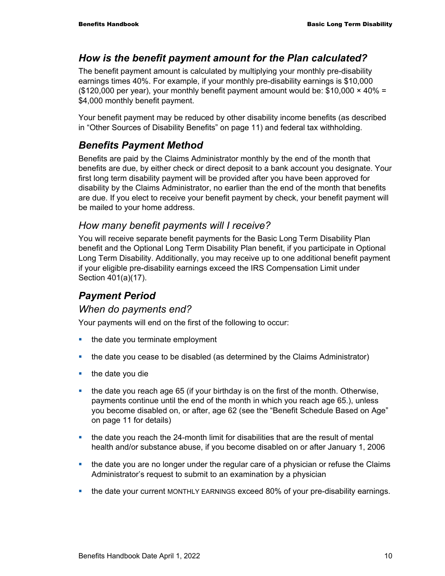## *How is the benefit payment amount for the Plan calculated?*

The benefit payment amount is calculated by multiplying your monthly pre-disability earnings times 40%. For example, if your monthly pre-disability earnings is \$10,000 (\$120,000 per year), your monthly benefit payment amount would be:  $$10,000 \times 40\% =$ \$4,000 monthly benefit payment.

Your benefit payment may be reduced by other disability income benefits (as described in "Other Sources of Disability Benefits" on page 11) and federal tax withholding.

# *Benefits Payment Method*

Benefits are paid by the Claims Administrator monthly by the end of the month that benefits are due, by either check or direct deposit to a bank account you designate. Your first long term disability payment will be provided after you have been approved for disability by the Claims Administrator, no earlier than the end of the month that benefits are due. If you elect to receive your benefit payment by check, your benefit payment will be mailed to your home address.

#### *How many benefit payments will I receive?*

You will receive separate benefit payments for the Basic Long Term Disability Plan benefit and the Optional Long Term Disability Plan benefit, if you participate in Optional Long Term Disability. Additionally, you may receive up to one additional benefit payment if your eligible pre-disability earnings exceed the IRS Compensation Limit under Section 401(a)(17).

# *Payment Period*

#### *When do payments end?*

Your payments will end on the first of the following to occur:

- the date you terminate employment
- the date you cease to be disabled (as determined by the Claims Administrator)
- $\blacksquare$  the date you die
- $\blacksquare$  the date you reach age 65 (if your birthday is on the first of the month. Otherwise, payments continue until the end of the month in which you reach age 65.), unless you become disabled on, or after, age 62 (see the "Benefit Schedule Based on Age" on page 11 for details)
- the date you reach the 24-month limit for disabilities that are the result of mental health and/or substance abuse, if you become disabled on or after January 1, 2006
- the date you are no longer under the regular care of a physician or refuse the Claims Administrator's request to submit to an examination by a physician
- **the date your current MONTHLY EARNINGS exceed 80% of your pre-disability earnings.**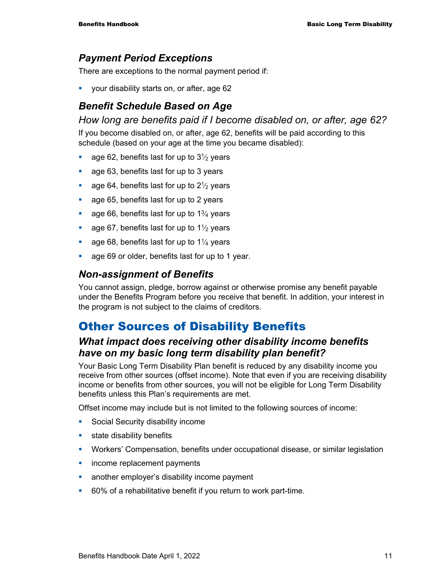# *Payment Period Exceptions*

There are exceptions to the normal payment period if:

your disability starts on, or after, age 62

# *Benefit Schedule Based on Age*

*How long are benefits paid if I become disabled on, or after, age 62?* 

If you become disabled on, or after, age 62, benefits will be paid according to this schedule (based on your age at the time you became disabled):

- age 62, benefits last for up to  $3\frac{1}{2}$  years
- **age 63, benefits last for up to 3 years**
- age 64, benefits last for up to  $2\frac{1}{2}$  years
- **age 65, benefits last for up to 2 years**
- age 66, benefits last for up to  $1\frac{3}{4}$  years
- age 67, benefits last for up to  $1\frac{1}{2}$  years
- age 68, benefits last for up to  $1\frac{1}{4}$  years
- **age 69 or older, benefits last for up to 1 year.**

### *Non-assignment of Benefits*

You cannot assign, pledge, borrow against or otherwise promise any benefit payable under the Benefits Program before you receive that benefit. In addition, your interest in the program is not subject to the claims of creditors.

# Other Sources of Disability Benefits

# *What impact does receiving other disability income benefits have on my basic long term disability plan benefit?*

Your Basic Long Term Disability Plan benefit is reduced by any disability income you receive from other sources (offset income). Note that even if you are receiving disability income or benefits from other sources, you will not be eligible for Long Term Disability benefits unless this Plan's requirements are met.

Offset income may include but is not limited to the following sources of income:

- **Social Security disability income**
- **state disability benefits**
- Workers' Compensation, benefits under occupational disease, or similar legislation
- **income replacement payments**
- **EXEDENT** another employer's disability income payment
- 60% of a rehabilitative benefit if you return to work part-time.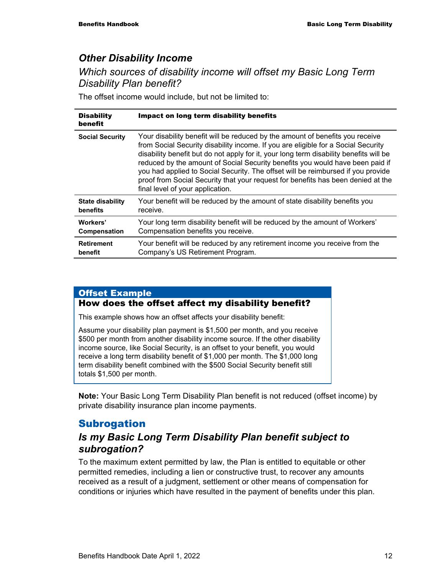# *Other Disability Income*

*Which sources of disability income will offset my Basic Long Term Disability Plan benefit?* 

The offset income would include, but not be limited to:

| <b>Disability</b><br>benefit | Impact on long term disability benefits                                                                                                                                                                                                                                                                                                                                                                                                                                                                                                                   |
|------------------------------|-----------------------------------------------------------------------------------------------------------------------------------------------------------------------------------------------------------------------------------------------------------------------------------------------------------------------------------------------------------------------------------------------------------------------------------------------------------------------------------------------------------------------------------------------------------|
| <b>Social Security</b>       | Your disability benefit will be reduced by the amount of benefits you receive<br>from Social Security disability income. If you are eligible for a Social Security<br>disability benefit but do not apply for it, your long term disability benefits will be<br>reduced by the amount of Social Security benefits you would have been paid if<br>you had applied to Social Security. The offset will be reimbursed if you provide<br>proof from Social Security that your request for benefits has been denied at the<br>final level of your application. |
| <b>State disability</b>      | Your benefit will be reduced by the amount of state disability benefits you                                                                                                                                                                                                                                                                                                                                                                                                                                                                               |
| benefits                     | receive.                                                                                                                                                                                                                                                                                                                                                                                                                                                                                                                                                  |
| Workers'                     | Your long term disability benefit will be reduced by the amount of Workers'                                                                                                                                                                                                                                                                                                                                                                                                                                                                               |
| <b>Compensation</b>          | Compensation benefits you receive.                                                                                                                                                                                                                                                                                                                                                                                                                                                                                                                        |
| <b>Retirement</b>            | Your benefit will be reduced by any retirement income you receive from the                                                                                                                                                                                                                                                                                                                                                                                                                                                                                |
| benefit                      | Company's US Retirement Program.                                                                                                                                                                                                                                                                                                                                                                                                                                                                                                                          |

#### Offset Example

#### How does the offset affect my disability benefit?

This example shows how an offset affects your disability benefit:

Assume your disability plan payment is \$1,500 per month, and you receive \$500 per month from another disability income source. If the other disability income source, like Social Security, is an offset to your benefit, you would receive a long term disability benefit of \$1,000 per month. The \$1,000 long term disability benefit combined with the \$500 Social Security benefit still totals \$1,500 per month.

**Note:** Your Basic Long Term Disability Plan benefit is not reduced (offset income) by private disability insurance plan income payments.

# Subrogation

# *Is my Basic Long Term Disability Plan benefit subject to subrogation?*

To the maximum extent permitted by law, the Plan is entitled to equitable or other permitted remedies, including a lien or constructive trust, to recover any amounts received as a result of a judgment, settlement or other means of compensation for conditions or injuries which have resulted in the payment of benefits under this plan.